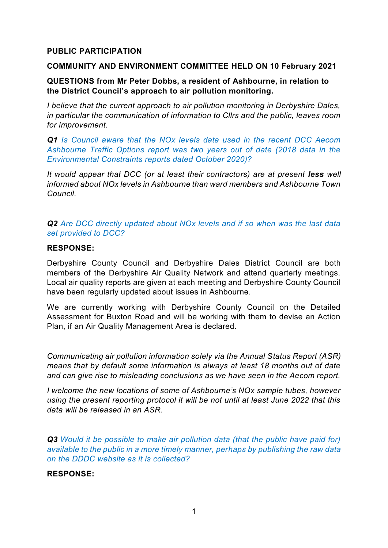# **PUBLIC PARTICIPATION**

#### **COMMUNITY AND ENVIRONMENT COMMITTEE HELD ON 10 February 2021**

# **QUESTIONS from Mr Peter Dobbs, a resident of Ashbourne, in relation to the District Council's approach to air pollution monitoring.**

*I believe that the current approach to air pollution monitoring in Derbyshire Dales, in particular the communication of information to Cllrs and the public, leaves room for improvement.*

*Q1 Is Council aware that the NOx levels data used in the recent DCC Aecom Ashbourne Traffic Options report was two years out of date (2018 data in the Environmental Constraints reports dated October 2020)?*

*It would appear that DCC (or at least their contractors) are at present less well informed about NOx levels in Ashbourne than ward members and Ashbourne Town Council.* 

*Q2 Are DCC directly updated about NOx levels and if so when was the last data set provided to DCC?*

#### **RESPONSE:**

Derbyshire County Council and Derbyshire Dales District Council are both members of the Derbyshire Air Quality Network and attend quarterly meetings. Local air quality reports are given at each meeting and Derbyshire County Council have been regularly updated about issues in Ashbourne.

We are currently working with Derbyshire County Council on the Detailed Assessment for Buxton Road and will be working with them to devise an Action Plan, if an Air Quality Management Area is declared.

*Communicating air pollution information solely via the Annual Status Report (ASR) means that by default some information is always at least 18 months out of date and can give rise to misleading conclusions as we have seen in the Aecom report.*

*I welcome the new locations of some of Ashbourne's NOx sample tubes, however using the present reporting protocol it will be not until at least June 2022 that this data will be released in an ASR.*

*Q3 Would it be possible to make air pollution data (that the public have paid for) available to the public in a more timely manner, perhaps by publishing the raw data on the DDDC website as it is collected?* 

## **RESPONSE:**